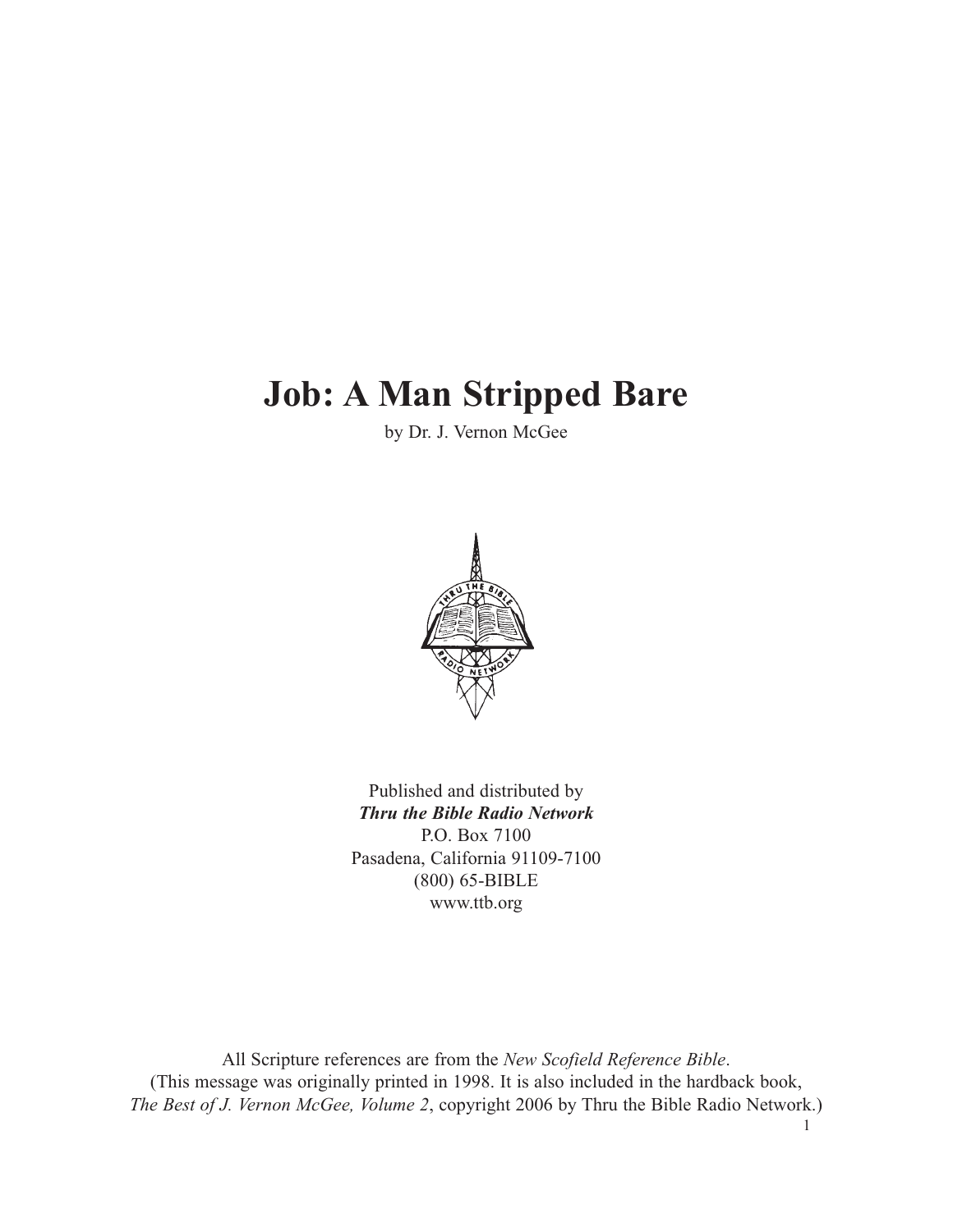# **Job: A Man Stripped Bare**

by Dr. J. Vernon McGee



Published and distributed by *Thru the Bible Radio Network* P.O. Box 7100 Pasadena, California 91109-7100 (800) 65-BIBLE www.ttb.org

All Scripture references are from the *New Scofield Reference Bible*. (This message was originally printed in 1998. It is also included in the hardback book, *The Best of J. Vernon McGee, Volume 2*, copyright 2006 by Thru the Bible Radio Network.)

1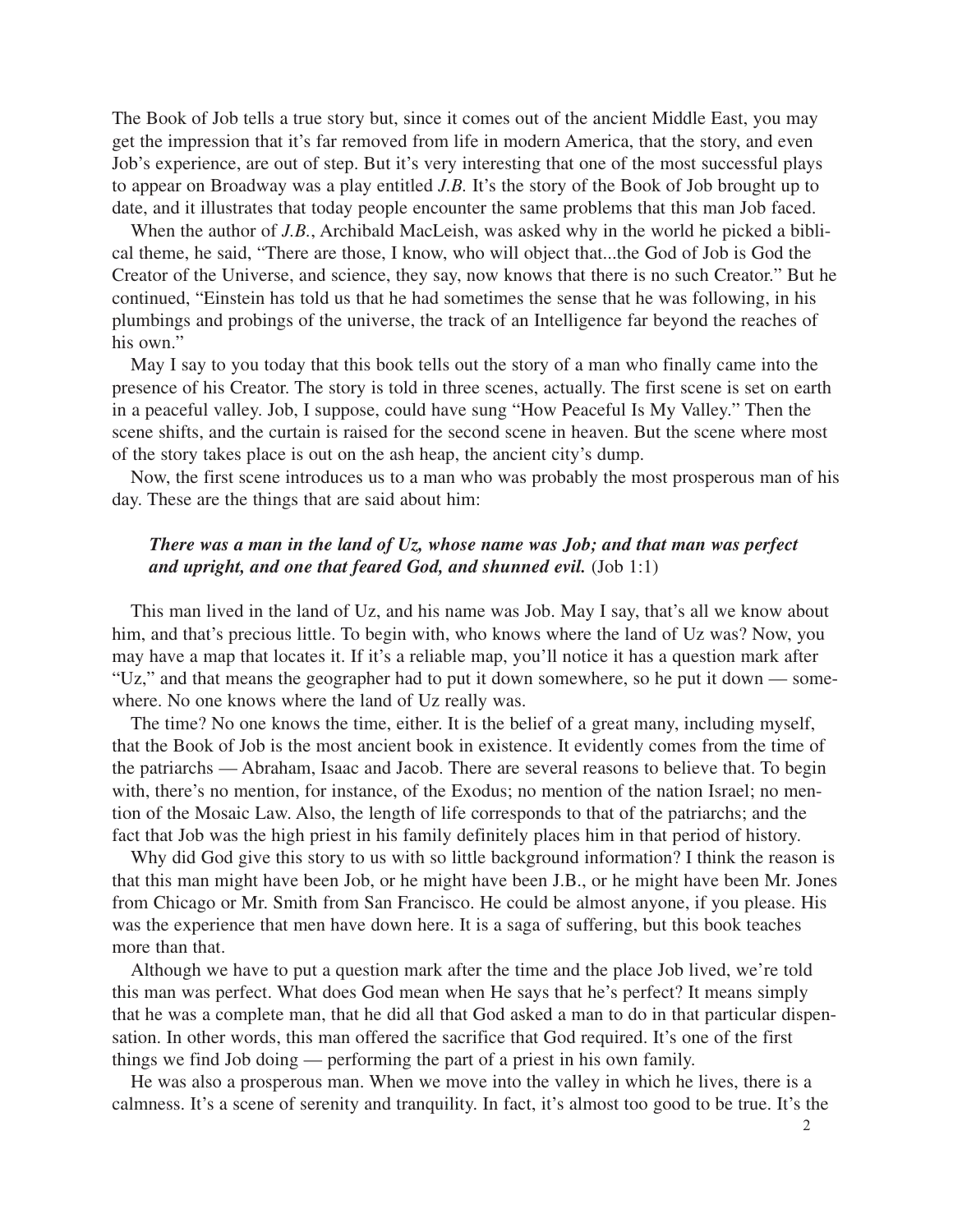The Book of Job tells a true story but, since it comes out of the ancient Middle East, you may get the impression that it's far removed from life in modern America, that the story, and even Job's experience, are out of step. But it's very interesting that one of the most successful plays to appear on Broadway was a play entitled *J.B.* It's the story of the Book of Job brought up to date, and it illustrates that today people encounter the same problems that this man Job faced.

When the author of *J.B.*, Archibald MacLeish, was asked why in the world he picked a biblical theme, he said, "There are those, I know, who will object that...the God of Job is God the Creator of the Universe, and science, they say, now knows that there is no such Creator." But he continued, "Einstein has told us that he had sometimes the sense that he was following, in his plumbings and probings of the universe, the track of an Intelligence far beyond the reaches of his own."

May I say to you today that this book tells out the story of a man who finally came into the presence of his Creator. The story is told in three scenes, actually. The first scene is set on earth in a peaceful valley. Job, I suppose, could have sung "How Peaceful Is My Valley." Then the scene shifts, and the curtain is raised for the second scene in heaven. But the scene where most of the story takes place is out on the ash heap, the ancient city's dump.

Now, the first scene introduces us to a man who was probably the most prosperous man of his day. These are the things that are said about him:

## *There was a man in the land of Uz, whose name was Job; and that man was perfect and upright, and one that feared God, and shunned evil.* (Job 1:1)

This man lived in the land of Uz, and his name was Job. May I say, that's all we know about him, and that's precious little. To begin with, who knows where the land of Uz was? Now, you may have a map that locates it. If it's a reliable map, you'll notice it has a question mark after "Uz," and that means the geographer had to put it down somewhere, so he put it down — somewhere. No one knows where the land of Uz really was.

The time? No one knows the time, either. It is the belief of a great many, including myself, that the Book of Job is the most ancient book in existence. It evidently comes from the time of the patriarchs — Abraham, Isaac and Jacob. There are several reasons to believe that. To begin with, there's no mention, for instance, of the Exodus; no mention of the nation Israel; no mention of the Mosaic Law. Also, the length of life corresponds to that of the patriarchs; and the fact that Job was the high priest in his family definitely places him in that period of history.

Why did God give this story to us with so little background information? I think the reason is that this man might have been Job, or he might have been J.B., or he might have been Mr. Jones from Chicago or Mr. Smith from San Francisco. He could be almost anyone, if you please. His was the experience that men have down here. It is a saga of suffering, but this book teaches more than that.

Although we have to put a question mark after the time and the place Job lived, we're told this man was perfect. What does God mean when He says that he's perfect? It means simply that he was a complete man, that he did all that God asked a man to do in that particular dispensation. In other words, this man offered the sacrifice that God required. It's one of the first things we find Job doing — performing the part of a priest in his own family.

He was also a prosperous man. When we move into the valley in which he lives, there is a calmness. It's a scene of serenity and tranquility. In fact, it's almost too good to be true. It's the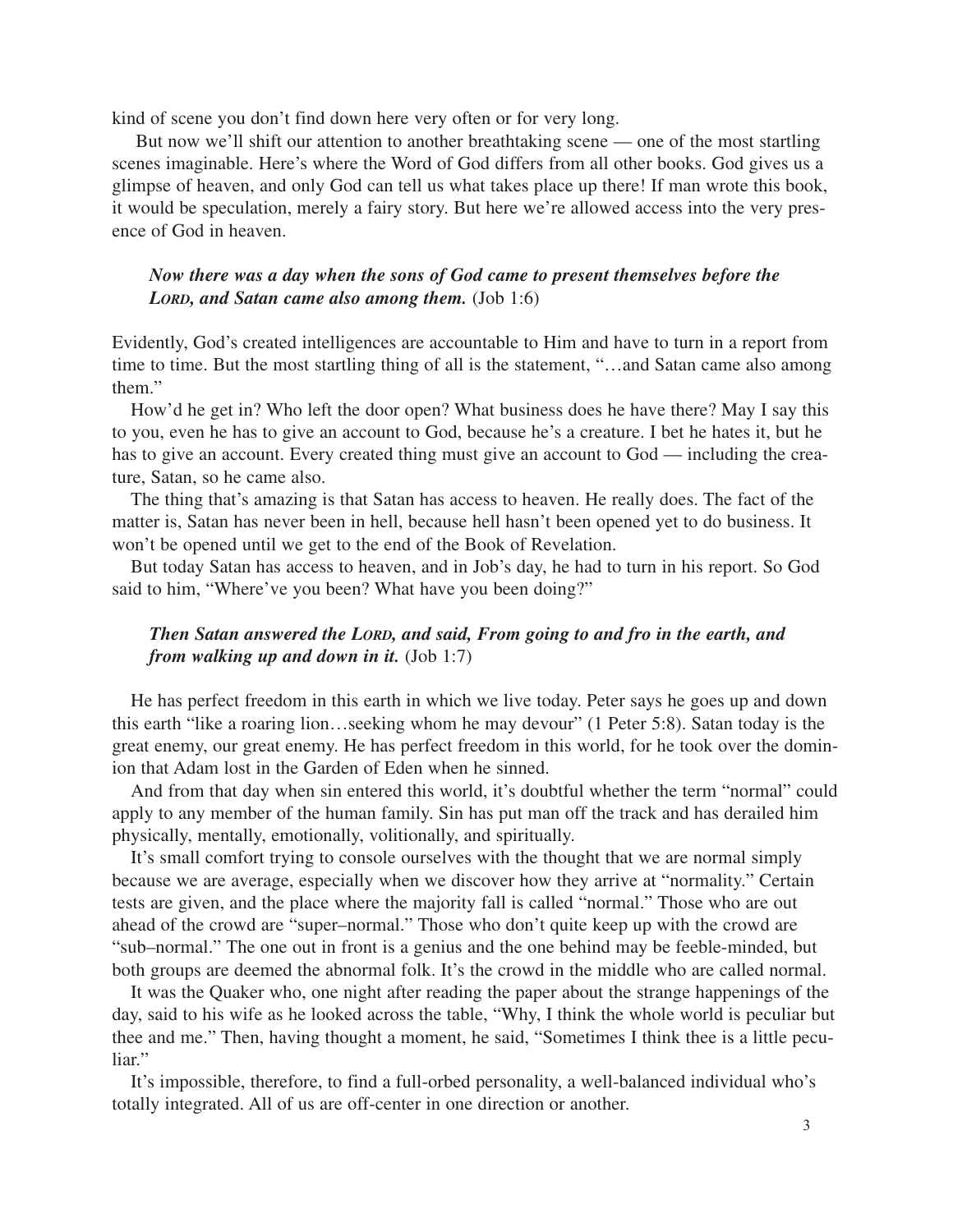kind of scene you don't find down here very often or for very long.

But now we'll shift our attention to another breathtaking scene — one of the most startling scenes imaginable. Here's where the Word of God differs from all other books. God gives us a glimpse of heaven, and only God can tell us what takes place up there! If man wrote this book, it would be speculation, merely a fairy story. But here we're allowed access into the very presence of God in heaven.

# *Now there was a day when the sons of God came to present themselves before the LORD, and Satan came also among them.* (Job 1:6)

Evidently, God's created intelligences are accountable to Him and have to turn in a report from time to time. But the most startling thing of all is the statement, "…and Satan came also among them."

How'd he get in? Who left the door open? What business does he have there? May I say this to you, even he has to give an account to God, because he's a creature. I bet he hates it, but he has to give an account. Every created thing must give an account to God — including the creature, Satan, so he came also.

The thing that's amazing is that Satan has access to heaven. He really does. The fact of the matter is, Satan has never been in hell, because hell hasn't been opened yet to do business. It won't be opened until we get to the end of the Book of Revelation.

But today Satan has access to heaven, and in Job's day, he had to turn in his report. So God said to him, "Where've you been? What have you been doing?"

## *Then Satan answered the LORD, and said, From going to and fro in the earth, and from walking up and down in it.* (Job 1:7)

He has perfect freedom in this earth in which we live today. Peter says he goes up and down this earth "like a roaring lion…seeking whom he may devour" (1 Peter 5:8). Satan today is the great enemy, our great enemy. He has perfect freedom in this world, for he took over the dominion that Adam lost in the Garden of Eden when he sinned.

And from that day when sin entered this world, it's doubtful whether the term "normal" could apply to any member of the human family. Sin has put man off the track and has derailed him physically, mentally, emotionally, volitionally, and spiritually.

It's small comfort trying to console ourselves with the thought that we are normal simply because we are average, especially when we discover how they arrive at "normality." Certain tests are given, and the place where the majority fall is called "normal." Those who are out ahead of the crowd are "super–normal." Those who don't quite keep up with the crowd are "sub–normal." The one out in front is a genius and the one behind may be feeble-minded, but both groups are deemed the abnormal folk. It's the crowd in the middle who are called normal.

It was the Quaker who, one night after reading the paper about the strange happenings of the day, said to his wife as he looked across the table, "Why, I think the whole world is peculiar but thee and me." Then, having thought a moment, he said, "Sometimes I think thee is a little peculiar."

It's impossible, therefore, to find a full-orbed personality, a well-balanced individual who's totally integrated. All of us are off-center in one direction or another.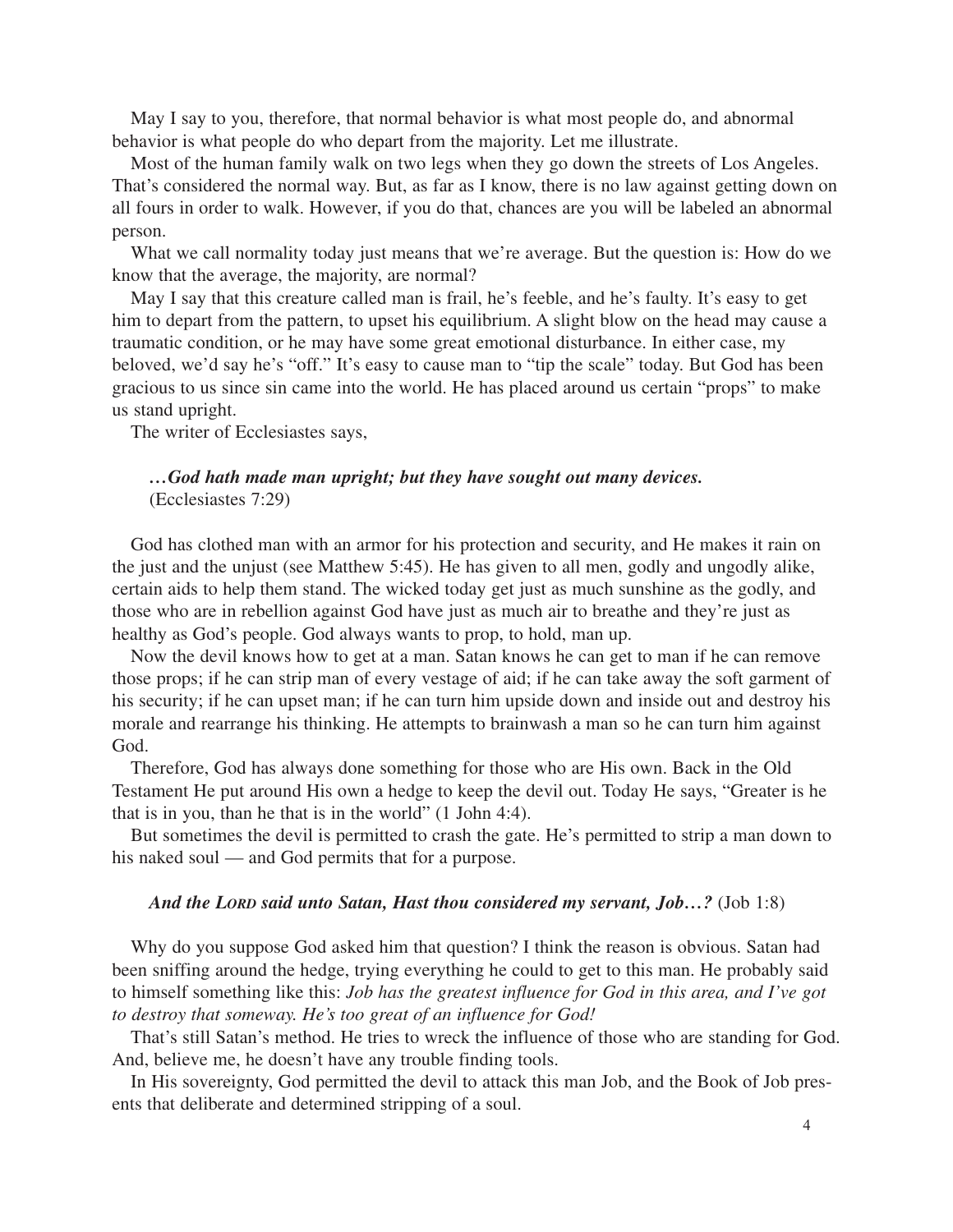May I say to you, therefore, that normal behavior is what most people do, and abnormal behavior is what people do who depart from the majority. Let me illustrate.

Most of the human family walk on two legs when they go down the streets of Los Angeles. That's considered the normal way. But, as far as I know, there is no law against getting down on all fours in order to walk. However, if you do that, chances are you will be labeled an abnormal person.

What we call normality today just means that we're average. But the question is: How do we know that the average, the majority, are normal?

May I say that this creature called man is frail, he's feeble, and he's faulty. It's easy to get him to depart from the pattern, to upset his equilibrium. A slight blow on the head may cause a traumatic condition, or he may have some great emotional disturbance. In either case, my beloved, we'd say he's "off." It's easy to cause man to "tip the scale" today. But God has been gracious to us since sin came into the world. He has placed around us certain "props" to make us stand upright.

The writer of Ecclesiastes says,

#### *…God hath made man upright; but they have sought out many devices.* (Ecclesiastes 7:29)

God has clothed man with an armor for his protection and security, and He makes it rain on the just and the unjust (see Matthew 5:45). He has given to all men, godly and ungodly alike, certain aids to help them stand. The wicked today get just as much sunshine as the godly, and those who are in rebellion against God have just as much air to breathe and they're just as healthy as God's people. God always wants to prop, to hold, man up.

Now the devil knows how to get at a man. Satan knows he can get to man if he can remove those props; if he can strip man of every vestage of aid; if he can take away the soft garment of his security; if he can upset man; if he can turn him upside down and inside out and destroy his morale and rearrange his thinking. He attempts to brainwash a man so he can turn him against God.

Therefore, God has always done something for those who are His own. Back in the Old Testament He put around His own a hedge to keep the devil out. Today He says, "Greater is he that is in you, than he that is in the world" (1 John 4:4).

But sometimes the devil is permitted to crash the gate. He's permitted to strip a man down to his naked soul — and God permits that for a purpose.

#### *And the LORD said unto Satan, Hast thou considered my servant, Job…?* (Job 1:8)

Why do you suppose God asked him that question? I think the reason is obvious. Satan had been sniffing around the hedge, trying everything he could to get to this man. He probably said to himself something like this: *Job has the greatest influence for God in this area, and I've got to destroy that someway. He's too great of an influence for God!*

That's still Satan's method. He tries to wreck the influence of those who are standing for God. And, believe me, he doesn't have any trouble finding tools.

In His sovereignty, God permitted the devil to attack this man Job, and the Book of Job presents that deliberate and determined stripping of a soul.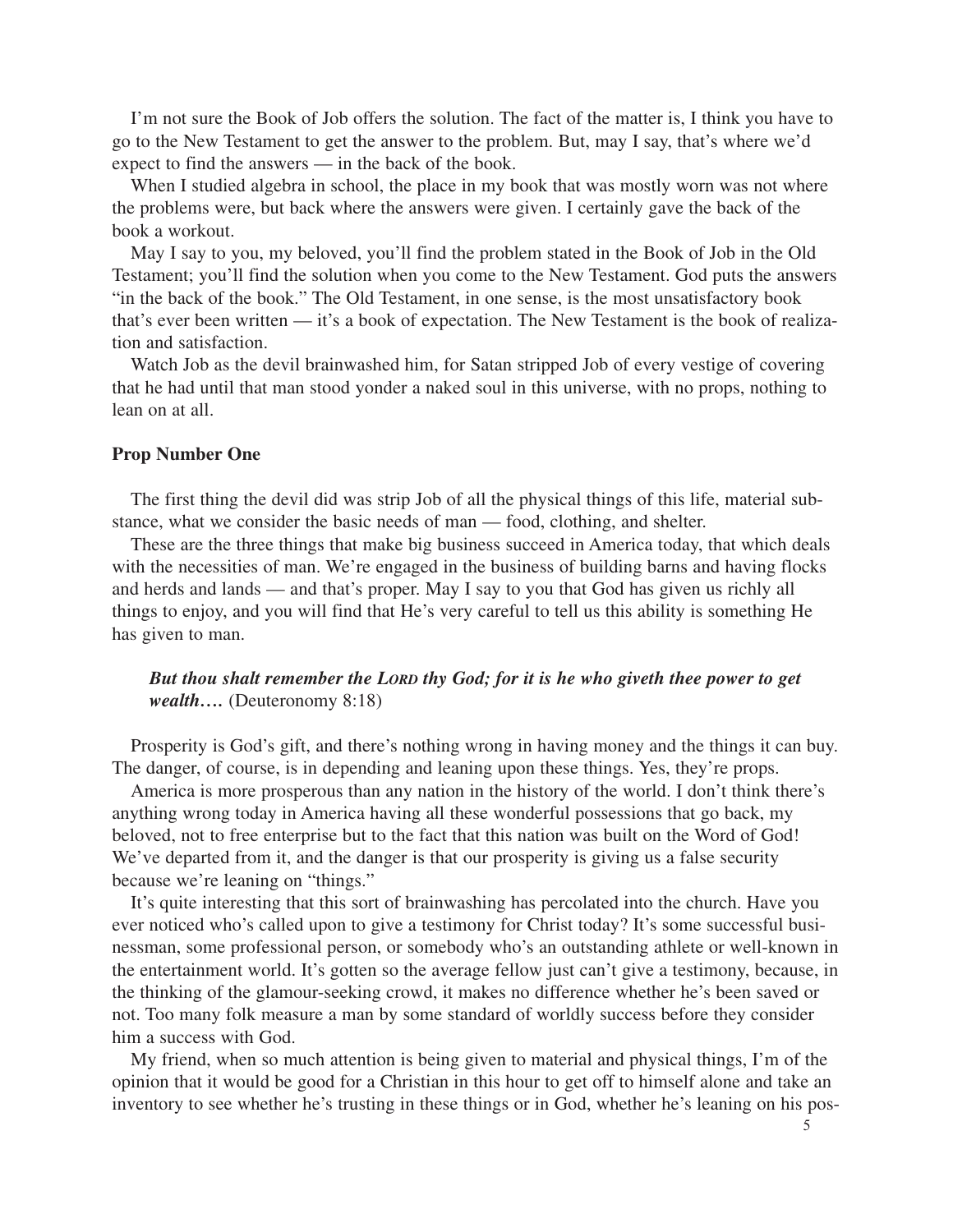I'm not sure the Book of Job offers the solution. The fact of the matter is, I think you have to go to the New Testament to get the answer to the problem. But, may I say, that's where we'd expect to find the answers — in the back of the book.

When I studied algebra in school, the place in my book that was mostly worn was not where the problems were, but back where the answers were given. I certainly gave the back of the book a workout.

May I say to you, my beloved, you'll find the problem stated in the Book of Job in the Old Testament; you'll find the solution when you come to the New Testament. God puts the answers "in the back of the book." The Old Testament, in one sense, is the most unsatisfactory book that's ever been written — it's a book of expectation. The New Testament is the book of realization and satisfaction.

Watch Job as the devil brainwashed him, for Satan stripped Job of every vestige of covering that he had until that man stood yonder a naked soul in this universe, with no props, nothing to lean on at all.

#### **Prop Number One**

The first thing the devil did was strip Job of all the physical things of this life, material substance, what we consider the basic needs of man — food, clothing, and shelter.

These are the three things that make big business succeed in America today, that which deals with the necessities of man. We're engaged in the business of building barns and having flocks and herds and lands — and that's proper. May I say to you that God has given us richly all things to enjoy, and you will find that He's very careful to tell us this ability is something He has given to man.

# *But thou shalt remember the LORD thy God; for it is he who giveth thee power to get wealth….* (Deuteronomy 8:18)

Prosperity is God's gift, and there's nothing wrong in having money and the things it can buy. The danger, of course, is in depending and leaning upon these things. Yes, they're props.

America is more prosperous than any nation in the history of the world. I don't think there's anything wrong today in America having all these wonderful possessions that go back, my beloved, not to free enterprise but to the fact that this nation was built on the Word of God! We've departed from it, and the danger is that our prosperity is giving us a false security because we're leaning on "things."

It's quite interesting that this sort of brainwashing has percolated into the church. Have you ever noticed who's called upon to give a testimony for Christ today? It's some successful businessman, some professional person, or somebody who's an outstanding athlete or well-known in the entertainment world. It's gotten so the average fellow just can't give a testimony, because, in the thinking of the glamour-seeking crowd, it makes no difference whether he's been saved or not. Too many folk measure a man by some standard of worldly success before they consider him a success with God.

My friend, when so much attention is being given to material and physical things, I'm of the opinion that it would be good for a Christian in this hour to get off to himself alone and take an inventory to see whether he's trusting in these things or in God, whether he's leaning on his pos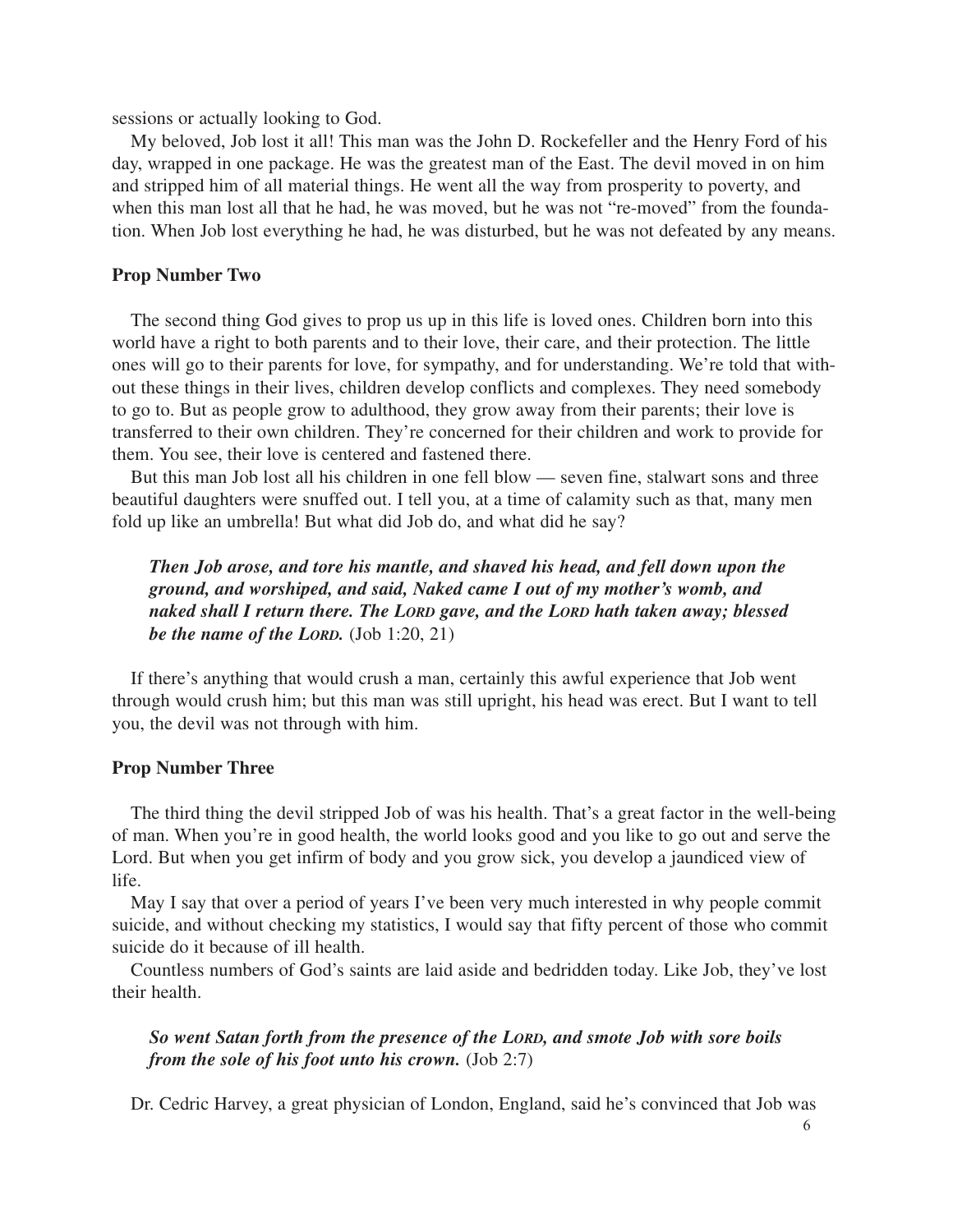sessions or actually looking to God.

My beloved, Job lost it all! This man was the John D. Rockefeller and the Henry Ford of his day, wrapped in one package. He was the greatest man of the East. The devil moved in on him and stripped him of all material things. He went all the way from prosperity to poverty, and when this man lost all that he had, he was moved, but he was not "re-moved" from the foundation. When Job lost everything he had, he was disturbed, but he was not defeated by any means.

#### **Prop Number Two**

The second thing God gives to prop us up in this life is loved ones. Children born into this world have a right to both parents and to their love, their care, and their protection. The little ones will go to their parents for love, for sympathy, and for understanding. We're told that without these things in their lives, children develop conflicts and complexes. They need somebody to go to. But as people grow to adulthood, they grow away from their parents; their love is transferred to their own children. They're concerned for their children and work to provide for them. You see, their love is centered and fastened there.

But this man Job lost all his children in one fell blow — seven fine, stalwart sons and three beautiful daughters were snuffed out. I tell you, at a time of calamity such as that, many men fold up like an umbrella! But what did Job do, and what did he say?

*Then Job arose, and tore his mantle, and shaved his head, and fell down upon the ground, and worshiped, and said, Naked came I out of my mother's womb, and naked shall I return there. The LORD gave, and the LORD hath taken away; blessed be the name of the LORD.* (Job 1:20, 21)

If there's anything that would crush a man, certainly this awful experience that Job went through would crush him; but this man was still upright, his head was erect. But I want to tell you, the devil was not through with him.

#### **Prop Number Three**

The third thing the devil stripped Job of was his health. That's a great factor in the well-being of man. When you're in good health, the world looks good and you like to go out and serve the Lord. But when you get infirm of body and you grow sick, you develop a jaundiced view of life.

May I say that over a period of years I've been very much interested in why people commit suicide, and without checking my statistics, I would say that fifty percent of those who commit suicide do it because of ill health.

Countless numbers of God's saints are laid aside and bedridden today. Like Job, they've lost their health.

*So went Satan forth from the presence of the LORD, and smote Job with sore boils from the sole of his foot unto his crown.* (Job 2:7)

Dr. Cedric Harvey, a great physician of London, England, said he's convinced that Job was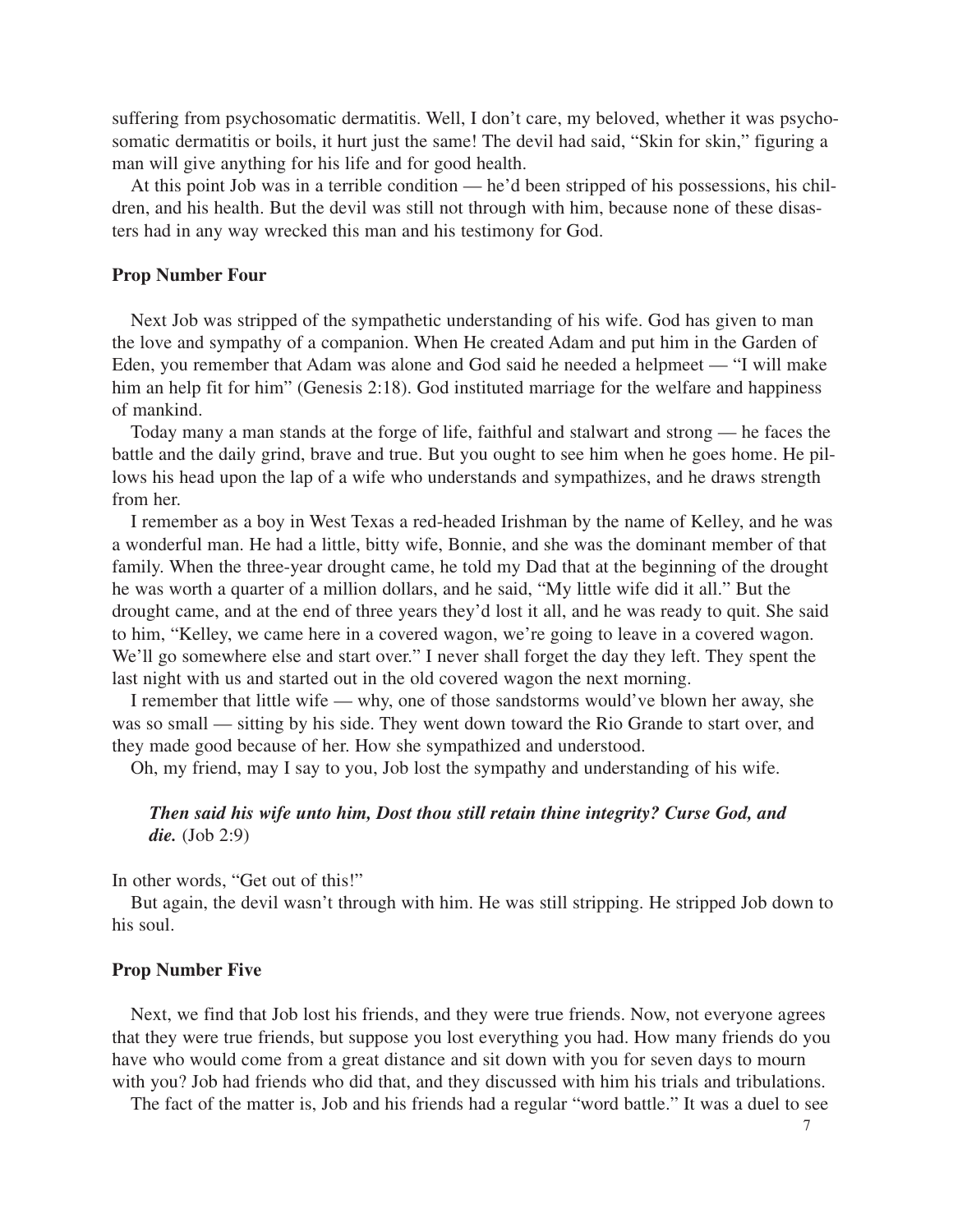suffering from psychosomatic dermatitis. Well, I don't care, my beloved, whether it was psychosomatic dermatitis or boils, it hurt just the same! The devil had said, "Skin for skin," figuring a man will give anything for his life and for good health.

At this point Job was in a terrible condition — he'd been stripped of his possessions, his children, and his health. But the devil was still not through with him, because none of these disasters had in any way wrecked this man and his testimony for God.

#### **Prop Number Four**

Next Job was stripped of the sympathetic understanding of his wife. God has given to man the love and sympathy of a companion. When He created Adam and put him in the Garden of Eden, you remember that Adam was alone and God said he needed a helpmeet — "I will make him an help fit for him" (Genesis 2:18). God instituted marriage for the welfare and happiness of mankind.

Today many a man stands at the forge of life, faithful and stalwart and strong — he faces the battle and the daily grind, brave and true. But you ought to see him when he goes home. He pillows his head upon the lap of a wife who understands and sympathizes, and he draws strength from her.

I remember as a boy in West Texas a red-headed Irishman by the name of Kelley, and he was a wonderful man. He had a little, bitty wife, Bonnie, and she was the dominant member of that family. When the three-year drought came, he told my Dad that at the beginning of the drought he was worth a quarter of a million dollars, and he said, "My little wife did it all." But the drought came, and at the end of three years they'd lost it all, and he was ready to quit. She said to him, "Kelley, we came here in a covered wagon, we're going to leave in a covered wagon. We'll go somewhere else and start over." I never shall forget the day they left. They spent the last night with us and started out in the old covered wagon the next morning.

I remember that little wife — why, one of those sandstorms would've blown her away, she was so small — sitting by his side. They went down toward the Rio Grande to start over, and they made good because of her. How she sympathized and understood.

Oh, my friend, may I say to you, Job lost the sympathy and understanding of his wife.

### *Then said his wife unto him, Dost thou still retain thine integrity? Curse God, and die.* (Job 2:9)

In other words, "Get out of this!"

But again, the devil wasn't through with him. He was still stripping. He stripped Job down to his soul.

#### **Prop Number Five**

Next, we find that Job lost his friends, and they were true friends. Now, not everyone agrees that they were true friends, but suppose you lost everything you had. How many friends do you have who would come from a great distance and sit down with you for seven days to mourn with you? Job had friends who did that, and they discussed with him his trials and tribulations.

The fact of the matter is, Job and his friends had a regular "word battle." It was a duel to see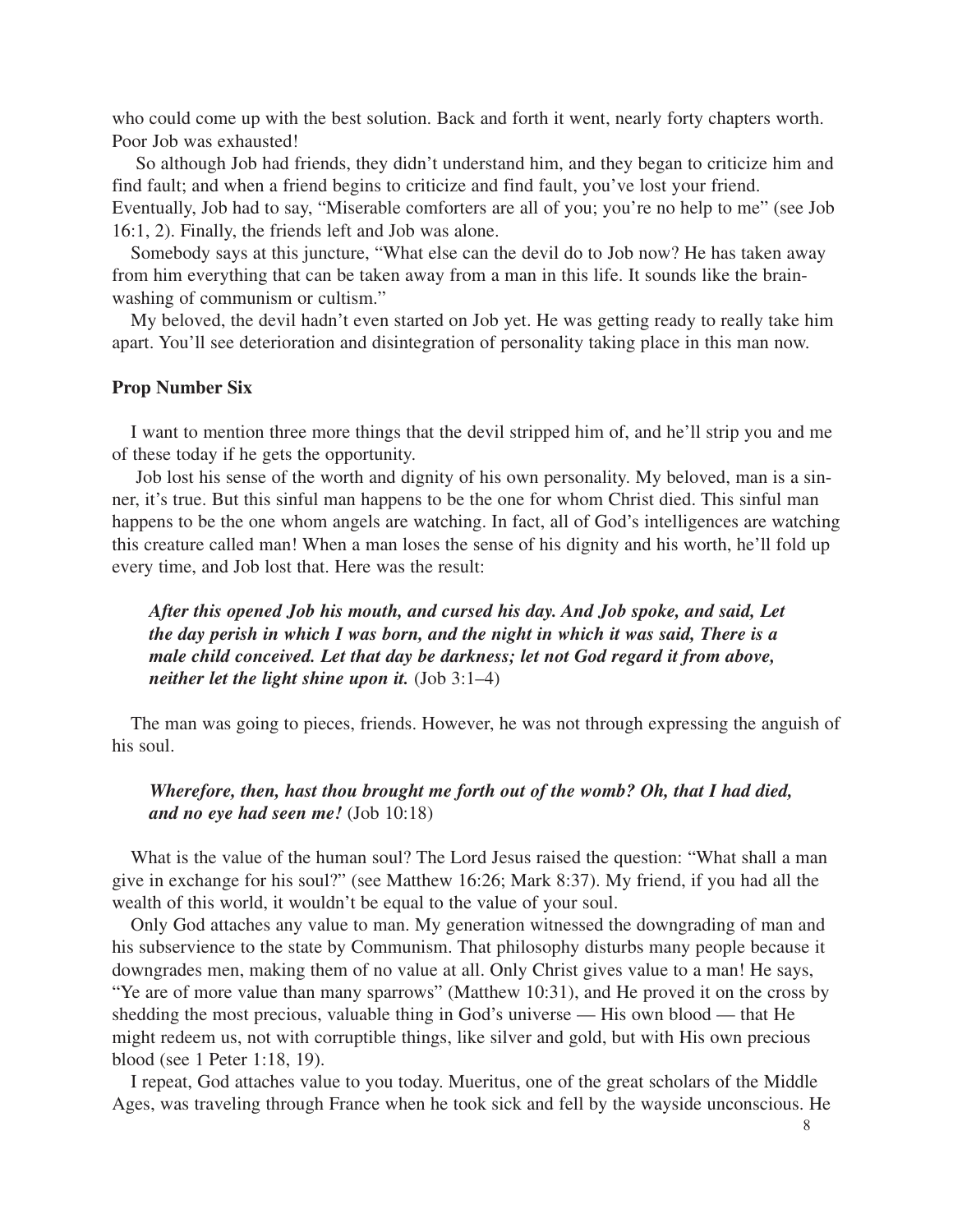who could come up with the best solution. Back and forth it went, nearly forty chapters worth. Poor Job was exhausted!

So although Job had friends, they didn't understand him, and they began to criticize him and find fault; and when a friend begins to criticize and find fault, you've lost your friend. Eventually, Job had to say, "Miserable comforters are all of you; you're no help to me" (see Job 16:1, 2). Finally, the friends left and Job was alone.

Somebody says at this juncture, "What else can the devil do to Job now? He has taken away from him everything that can be taken away from a man in this life. It sounds like the brainwashing of communism or cultism."

My beloved, the devil hadn't even started on Job yet. He was getting ready to really take him apart. You'll see deterioration and disintegration of personality taking place in this man now.

#### **Prop Number Six**

I want to mention three more things that the devil stripped him of, and he'll strip you and me of these today if he gets the opportunity.

Job lost his sense of the worth and dignity of his own personality. My beloved, man is a sinner, it's true. But this sinful man happens to be the one for whom Christ died. This sinful man happens to be the one whom angels are watching. In fact, all of God's intelligences are watching this creature called man! When a man loses the sense of his dignity and his worth, he'll fold up every time, and Job lost that. Here was the result:

*After this opened Job his mouth, and cursed his day. And Job spoke, and said, Let the day perish in which I was born, and the night in which it was said, There is a male child conceived. Let that day be darkness; let not God regard it from above, neither let the light shine upon it.* (Job 3:1–4)

The man was going to pieces, friends. However, he was not through expressing the anguish of his soul.

*Wherefore, then, hast thou brought me forth out of the womb? Oh, that I had died, and no eye had seen me!* (Job 10:18)

What is the value of the human soul? The Lord Jesus raised the question: "What shall a man give in exchange for his soul?" (see Matthew 16:26; Mark 8:37). My friend, if you had all the wealth of this world, it wouldn't be equal to the value of your soul.

Only God attaches any value to man. My generation witnessed the downgrading of man and his subservience to the state by Communism. That philosophy disturbs many people because it downgrades men, making them of no value at all. Only Christ gives value to a man! He says, "Ye are of more value than many sparrows" (Matthew 10:31), and He proved it on the cross by shedding the most precious, valuable thing in God's universe — His own blood — that He might redeem us, not with corruptible things, like silver and gold, but with His own precious blood (see 1 Peter 1:18, 19).

I repeat, God attaches value to you today. Mueritus, one of the great scholars of the Middle Ages, was traveling through France when he took sick and fell by the wayside unconscious. He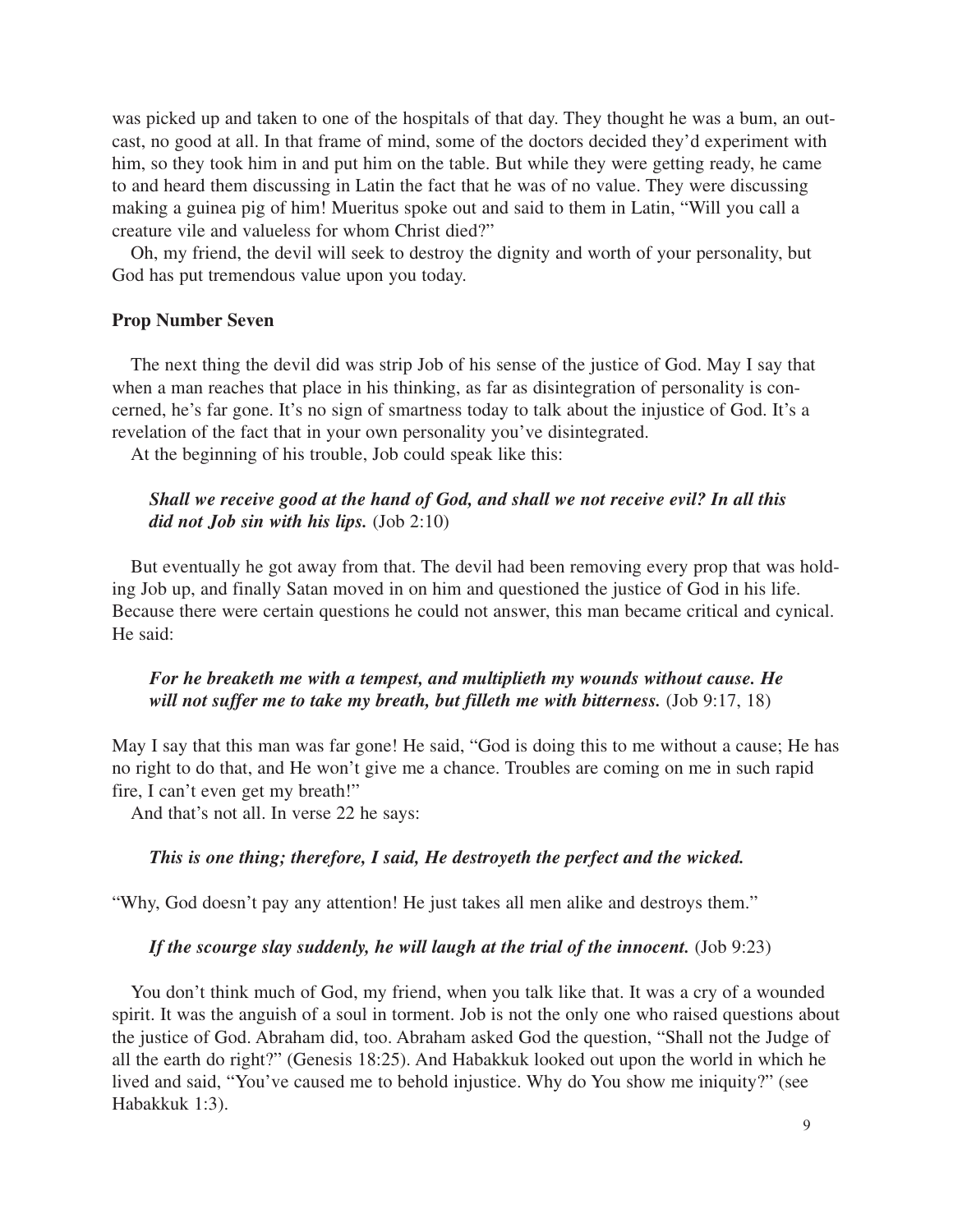was picked up and taken to one of the hospitals of that day. They thought he was a bum, an outcast, no good at all. In that frame of mind, some of the doctors decided they'd experiment with him, so they took him in and put him on the table. But while they were getting ready, he came to and heard them discussing in Latin the fact that he was of no value. They were discussing making a guinea pig of him! Mueritus spoke out and said to them in Latin, "Will you call a creature vile and valueless for whom Christ died?"

Oh, my friend, the devil will seek to destroy the dignity and worth of your personality, but God has put tremendous value upon you today.

#### **Prop Number Seven**

The next thing the devil did was strip Job of his sense of the justice of God. May I say that when a man reaches that place in his thinking, as far as disintegration of personality is concerned, he's far gone. It's no sign of smartness today to talk about the injustice of God. It's a revelation of the fact that in your own personality you've disintegrated.

At the beginning of his trouble, Job could speak like this:

## *Shall we receive good at the hand of God, and shall we not receive evil? In all this did not Job sin with his lips.* (Job 2:10)

But eventually he got away from that. The devil had been removing every prop that was holding Job up, and finally Satan moved in on him and questioned the justice of God in his life. Because there were certain questions he could not answer, this man became critical and cynical. He said:

## *For he breaketh me with a tempest, and multiplieth my wounds without cause. He will not suffer me to take my breath, but filleth me with bitterness.* (Job 9:17, 18)

May I say that this man was far gone! He said, "God is doing this to me without a cause; He has no right to do that, and He won't give me a chance. Troubles are coming on me in such rapid fire, I can't even get my breath!"

And that's not all. In verse 22 he says:

#### *This is one thing; therefore, I said, He destroyeth the perfect and the wicked.*

"Why, God doesn't pay any attention! He just takes all men alike and destroys them."

#### If the scourge slay suddenly, he will laugh at the trial of the innocent. (Job 9:23)

You don't think much of God, my friend, when you talk like that. It was a cry of a wounded spirit. It was the anguish of a soul in torment. Job is not the only one who raised questions about the justice of God. Abraham did, too. Abraham asked God the question, "Shall not the Judge of all the earth do right?" (Genesis 18:25). And Habakkuk looked out upon the world in which he lived and said, "You've caused me to behold injustice. Why do You show me iniquity?" (see Habakkuk 1:3).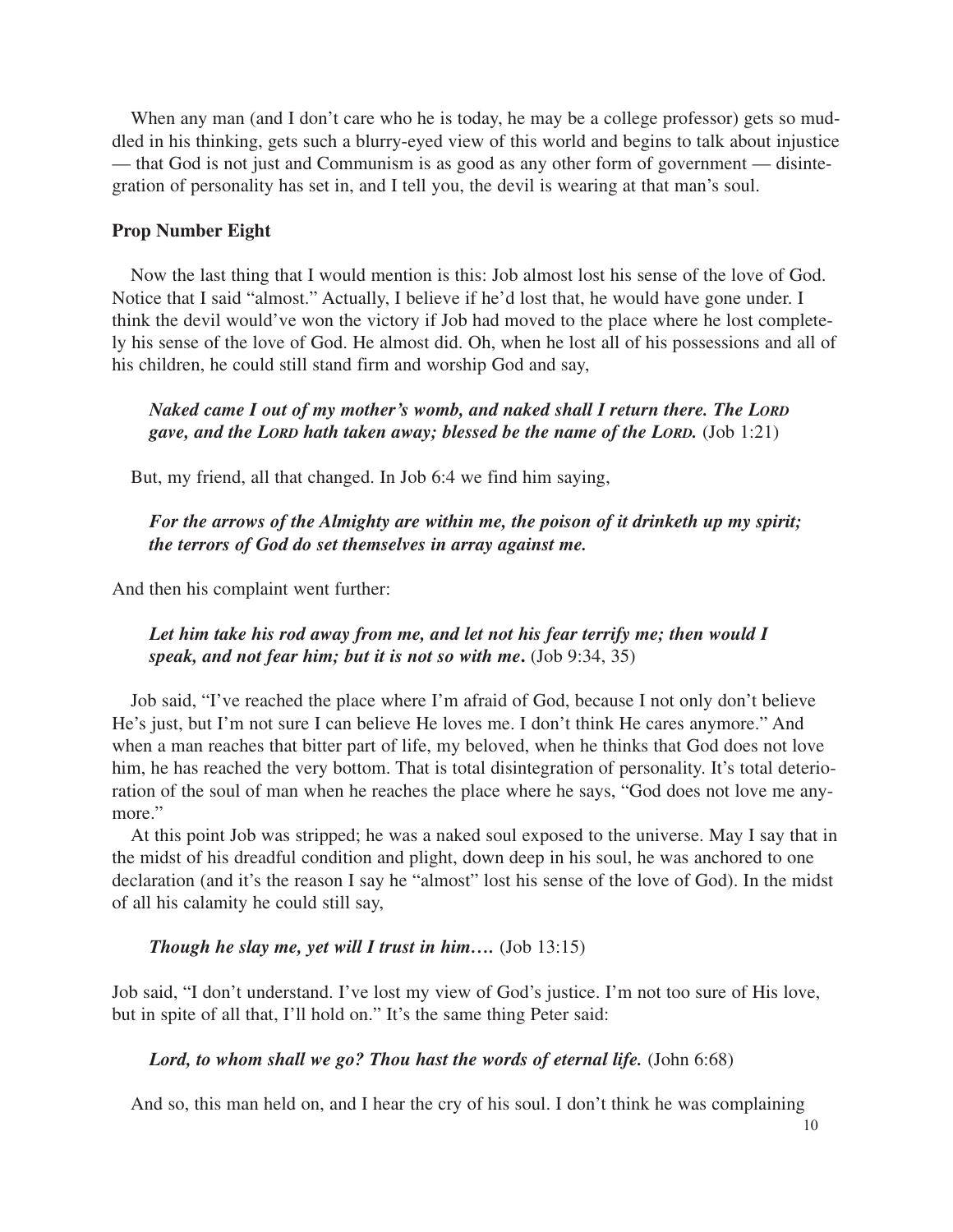When any man (and I don't care who he is today, he may be a college professor) gets so muddled in his thinking, gets such a blurry-eyed view of this world and begins to talk about injustice — that God is not just and Communism is as good as any other form of government — disintegration of personality has set in, and I tell you, the devil is wearing at that man's soul.

## **Prop Number Eight**

Now the last thing that I would mention is this: Job almost lost his sense of the love of God. Notice that I said "almost." Actually, I believe if he'd lost that, he would have gone under. I think the devil would've won the victory if Job had moved to the place where he lost completely his sense of the love of God. He almost did. Oh, when he lost all of his possessions and all of his children, he could still stand firm and worship God and say,

# *Naked came I out of my mother's womb, and naked shall I return there. The LORD gave, and the LORD hath taken away; blessed be the name of the LORD.* (Job 1:21)

But, my friend, all that changed. In Job 6:4 we find him saying,

# *For the arrows of the Almighty are within me, the poison of it drinketh up my spirit; the terrors of God do set themselves in array against me.*

And then his complaint went further:

# *Let him take his rod away from me, and let not his fear terrify me; then would I speak, and not fear him; but it is not so with me***.** (Job 9:34, 35)

Job said, "I've reached the place where I'm afraid of God, because I not only don't believe He's just, but I'm not sure I can believe He loves me. I don't think He cares anymore." And when a man reaches that bitter part of life, my beloved, when he thinks that God does not love him, he has reached the very bottom. That is total disintegration of personality. It's total deterioration of the soul of man when he reaches the place where he says, "God does not love me anymore."

At this point Job was stripped; he was a naked soul exposed to the universe. May I say that in the midst of his dreadful condition and plight, down deep in his soul, he was anchored to one declaration (and it's the reason I say he "almost" lost his sense of the love of God). In the midst of all his calamity he could still say,

## *Though he slay me, yet will I trust in him….* (Job 13:15)

Job said, "I don't understand. I've lost my view of God's justice. I'm not too sure of His love, but in spite of all that, I'll hold on." It's the same thing Peter said:

#### Lord, to whom shall we go? Thou hast the words of eternal life. (John 6:68)

And so, this man held on, and I hear the cry of his soul. I don't think he was complaining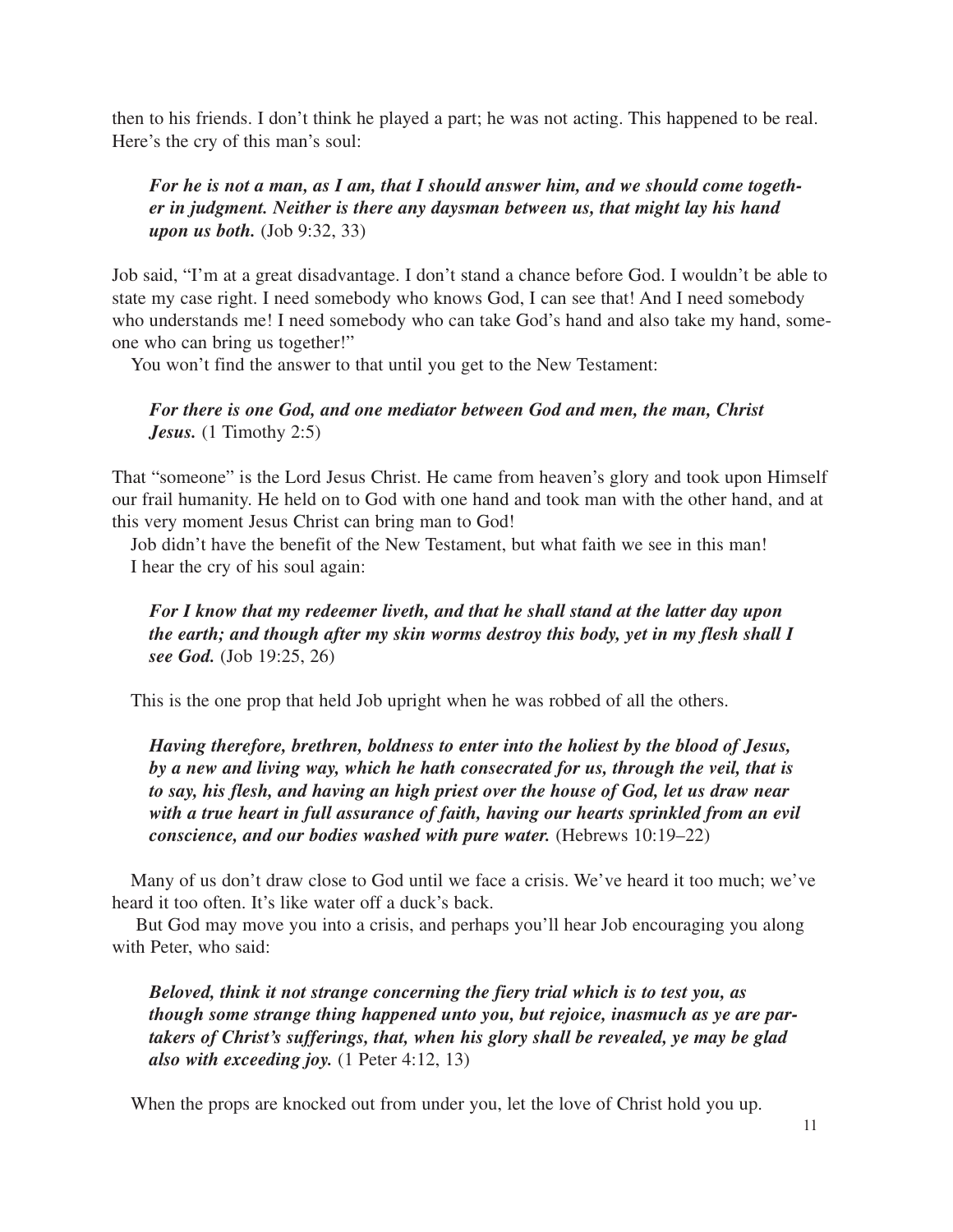then to his friends. I don't think he played a part; he was not acting. This happened to be real. Here's the cry of this man's soul:

# *For he is not a man, as I am, that I should answer him, and we should come together in judgment. Neither is there any daysman between us, that might lay his hand upon us both.* (Job 9:32, 33)

Job said, "I'm at a great disadvantage. I don't stand a chance before God. I wouldn't be able to state my case right. I need somebody who knows God, I can see that! And I need somebody who understands me! I need somebody who can take God's hand and also take my hand, someone who can bring us together!"

You won't find the answer to that until you get to the New Testament:

# *For there is one God, and one mediator between God and men, the man, Christ* Jesus. (1 Timothy 2:5)

That "someone" is the Lord Jesus Christ. He came from heaven's glory and took upon Himself our frail humanity. He held on to God with one hand and took man with the other hand, and at this very moment Jesus Christ can bring man to God!

Job didn't have the benefit of the New Testament, but what faith we see in this man! I hear the cry of his soul again:

# *For I know that my redeemer liveth, and that he shall stand at the latter day upon the earth; and though after my skin worms destroy this body, yet in my flesh shall I see God.* (Job 19:25, 26)

This is the one prop that held Job upright when he was robbed of all the others.

*Having therefore, brethren, boldness to enter into the holiest by the blood of Jesus, by a new and living way, which he hath consecrated for us, through the veil, that is to say, his flesh, and having an high priest over the house of God, let us draw near with a true heart in full assurance of faith, having our hearts sprinkled from an evil conscience, and our bodies washed with pure water.* (Hebrews 10:19–22)

Many of us don't draw close to God until we face a crisis. We've heard it too much; we've heard it too often. It's like water off a duck's back.

But God may move you into a crisis, and perhaps you'll hear Job encouraging you along with Peter, who said:

*Beloved, think it not strange concerning the fiery trial which is to test you, as though some strange thing happened unto you, but rejoice, inasmuch as ye are partakers of Christ's sufferings, that, when his glory shall be revealed, ye may be glad also with exceeding joy.* (1 Peter 4:12, 13)

When the props are knocked out from under you, let the love of Christ hold you up.